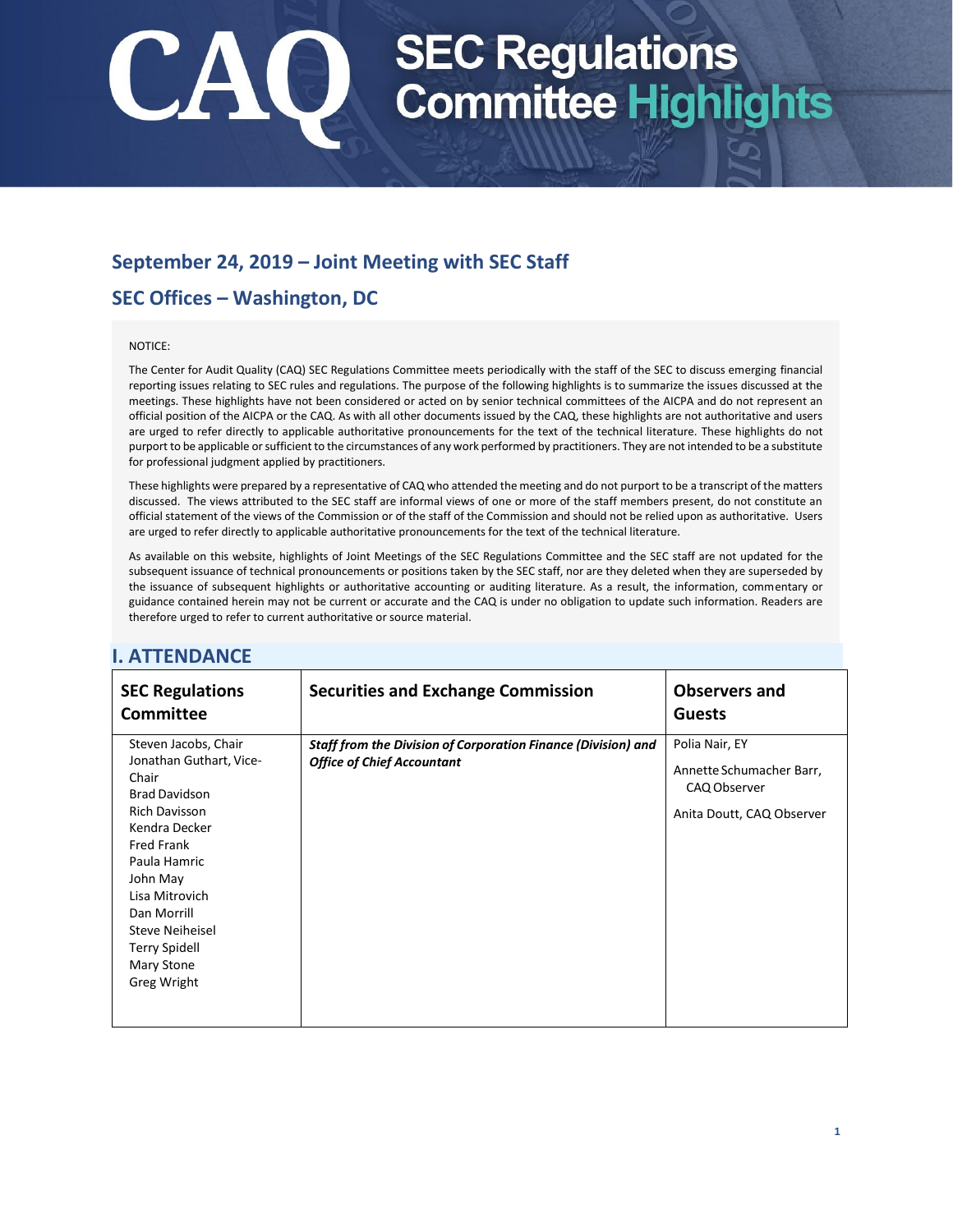### **September 24, 2019 – Joint Meeting with SEC Staff**

### **SEC Offices – Washington, DC**

#### NOTICE:

The Center for Audit Quality (CAQ) SEC Regulations Committee meets periodically with the staff of the SEC to discuss emerging financial reporting issues relating to SEC rules and regulations. The purpose of the following highlights is to summarize the issues discussed at the meetings. These highlights have not been considered or acted on by senior technical committees of the AICPA and do not represent an official position of the AICPA or the CAQ. As with all other documents issued by the CAQ, these highlights are not authoritative and users are urged to refer directly to applicable authoritative pronouncements for the text of the technical literature. These highlights do not purport to be applicable or sufficient to the circumstances of any work performed by practitioners. They are not intended to be a substitute for professional judgment applied by practitioners.

These highlights were prepared by a representative of CAQ who attended the meeting and do not purport to be a transcript of the matters discussed. The views attributed to the SEC staff are informal views of one or more of the staff members present, do not constitute an official statement of the views of the Commission or of the staff of the Commission and should not be relied upon as authoritative. Users are urged to refer directly to applicable authoritative pronouncements for the text of the technical literature.

As available on this website, highlights of Joint Meetings of the SEC Regulations Committee and the SEC staff are not updated for the subsequent issuance of technical pronouncements or positions taken by the SEC staff, nor are they deleted when they are superseded by the issuance of subsequent highlights or authoritative accounting or auditing literature. As a result, the information, commentary or guidance contained herein may not be current or accurate and the CAQ is under no obligation to update such information. Readers are therefore urged to refer to current authoritative or source material.

| <b>SEC Regulations</b><br><b>Committee</b>                                                                                                                                                                                                                                          | <b>Securities and Exchange Commission</b>                                                                 | <b>Observers and</b><br><b>Guests</b>                                                   |
|-------------------------------------------------------------------------------------------------------------------------------------------------------------------------------------------------------------------------------------------------------------------------------------|-----------------------------------------------------------------------------------------------------------|-----------------------------------------------------------------------------------------|
| Steven Jacobs, Chair<br>Jonathan Guthart, Vice-<br>Chair<br><b>Brad Davidson</b><br><b>Rich Davisson</b><br>Kendra Decker<br><b>Fred Frank</b><br>Paula Hamric<br>John May<br>Lisa Mitrovich<br>Dan Morrill<br>Steve Neiheisel<br><b>Terry Spidell</b><br>Mary Stone<br>Greg Wright | <b>Staff from the Division of Corporation Finance (Division) and</b><br><b>Office of Chief Accountant</b> | Polia Nair, EY<br>Annette Schumacher Barr,<br>CAQ Observer<br>Anita Doutt, CAQ Observer |

### **I. ATTENDANCE**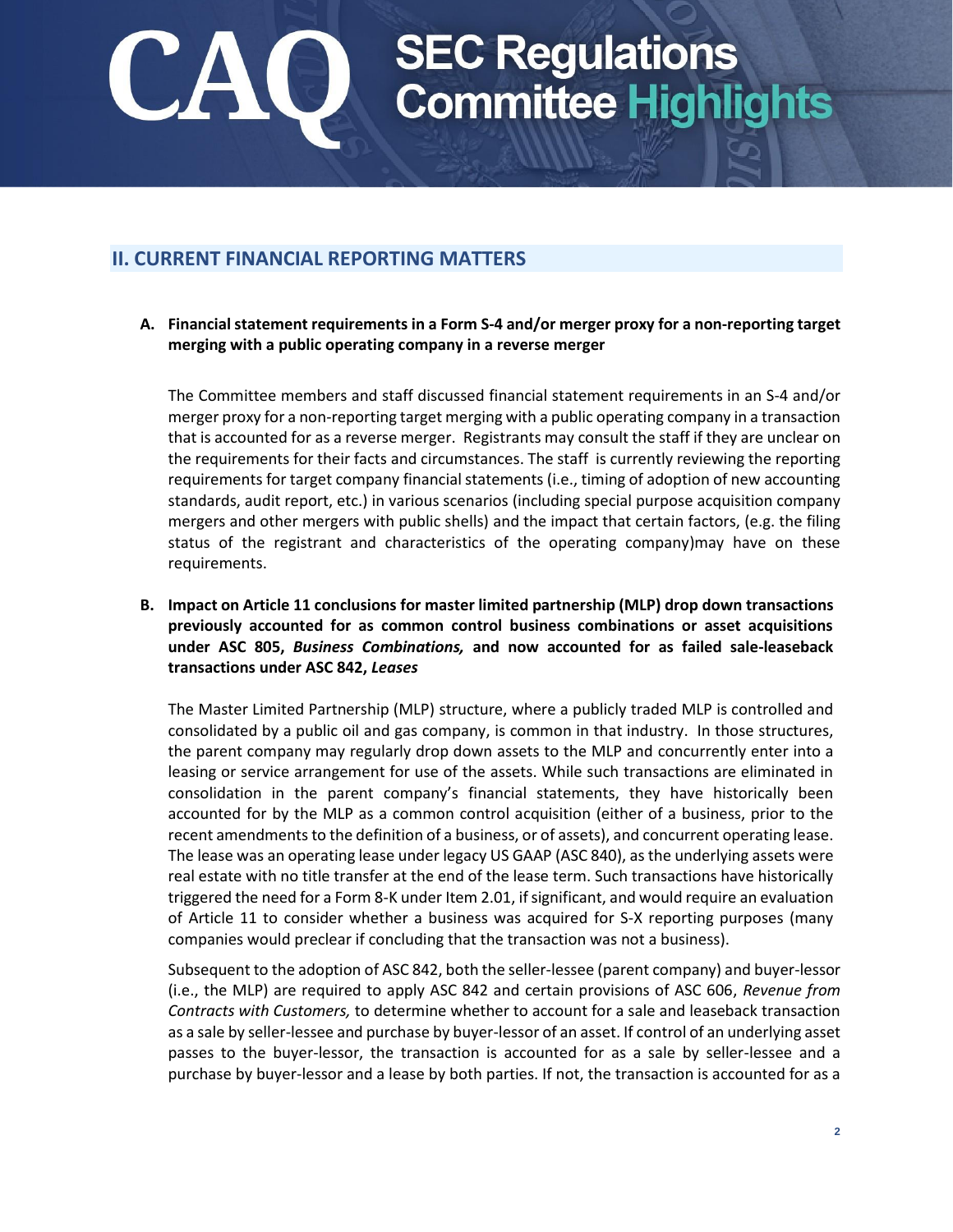### **II. CURRENT FINANCIAL REPORTING MATTERS**

#### **A. Financial statement requirements in a Form S-4 and/or merger proxy for a non-reporting target merging with a public operating company in a reverse merger**

The Committee members and staff discussed financial statement requirements in an S-4 and/or merger proxy for a non-reporting target merging with a public operating company in a transaction that is accounted for as a reverse merger. Registrants may consult the staff if they are unclear on the requirements for their facts and circumstances. The staff is currently reviewing the reporting requirements for target company financial statements (i.e., timing of adoption of new accounting standards, audit report, etc.) in various scenarios (including special purpose acquisition company mergers and other mergers with public shells) and the impact that certain factors, (e.g. the filing status of the registrant and characteristics of the operating company)may have on these requirements.

#### **B. Impact on Article 11 conclusions for master limited partnership (MLP) drop down transactions previously accounted for as common control business combinations or asset acquisitions under ASC 805,** *Business Combinations,* **and now accounted for as failed sale-leaseback transactions under ASC 842,** *Leases*

The Master Limited Partnership (MLP) structure, where a publicly traded MLP is controlled and consolidated by a public oil and gas company, is common in that industry. In those structures, the parent company may regularly drop down assets to the MLP and concurrently enter into a leasing or service arrangement for use of the assets. While such transactions are eliminated in consolidation in the parent company's financial statements, they have historically been accounted for by the MLP as a common control acquisition (either of a business, prior to the recent amendments to the definition of a business, or of assets), and concurrent operating lease. The lease was an operating lease under legacy US GAAP (ASC 840), as the underlying assets were real estate with no title transfer at the end of the lease term. Such transactions have historically triggered the need for a Form 8-K under Item 2.01, if significant, and would require an evaluation of Article 11 to consider whether a business was acquired for S-X reporting purposes (many companies would preclear if concluding that the transaction was not a business).

Subsequent to the adoption of ASC 842, both the seller-lessee (parent company) and buyer-lessor (i.e., the MLP) are required to apply ASC 842 and certain provisions of ASC 606, *Revenue from Contracts with Customers,* to determine whether to account for a sale and leaseback transaction as a sale by seller-lessee and purchase by buyer-lessor of an asset. If control of an underlying asset passes to the buyer-lessor, the transaction is accounted for as a sale by seller-lessee and a purchase by buyer-lessor and a lease by both parties. If not, the transaction is accounted for as a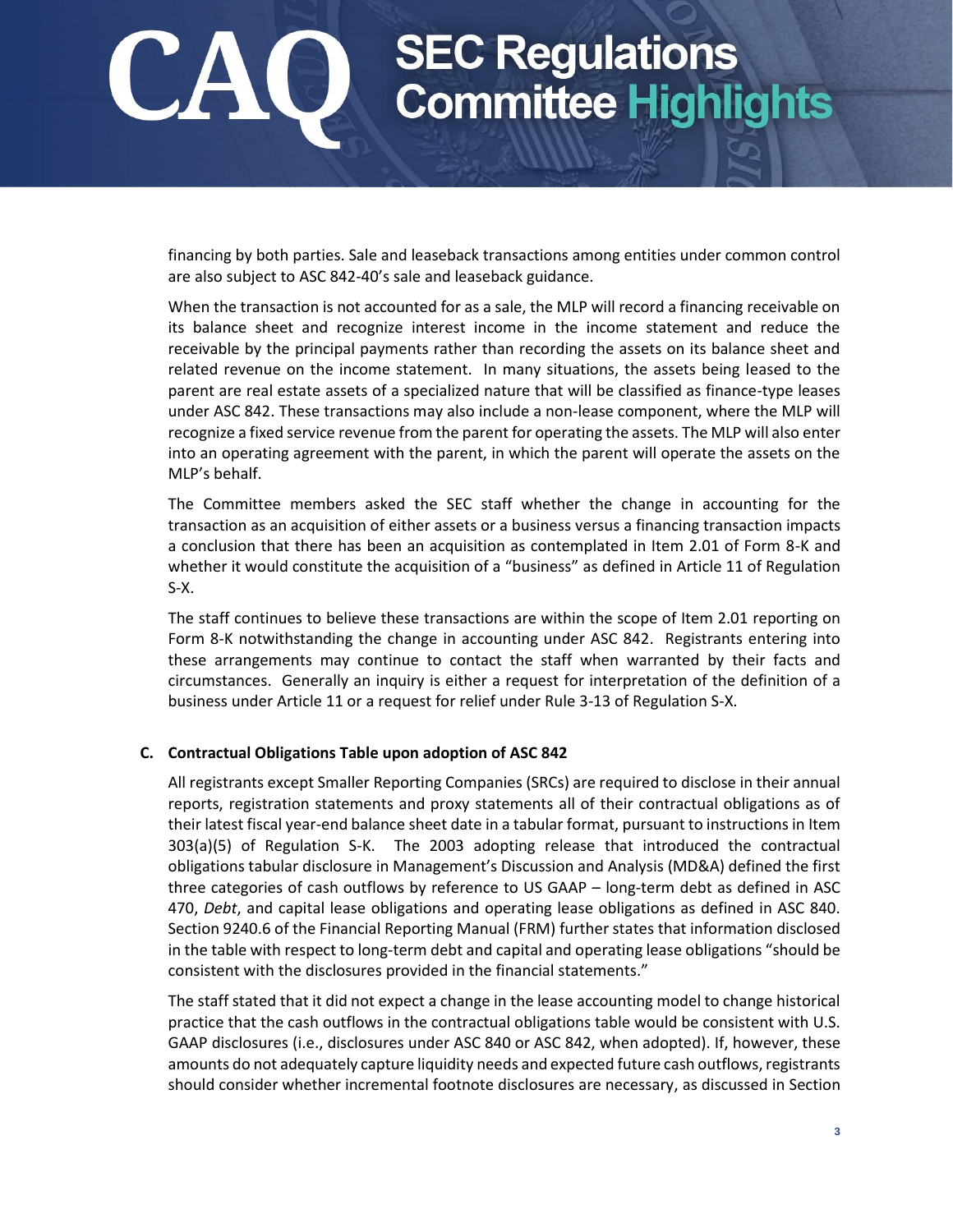financing by both parties. Sale and leaseback transactions among entities under common control are also subject to ASC 842-40's sale and leaseback guidance.

When the transaction is not accounted for as a sale, the MLP will record a financing receivable on its balance sheet and recognize interest income in the income statement and reduce the receivable by the principal payments rather than recording the assets on its balance sheet and related revenue on the income statement. In many situations, the assets being leased to the parent are real estate assets of a specialized nature that will be classified as finance-type leases under ASC 842. These transactions may also include a non-lease component, where the MLP will recognize a fixed service revenue from the parent for operating the assets. The MLP will also enter into an operating agreement with the parent, in which the parent will operate the assets on the MLP's behalf.

The Committee members asked the SEC staff whether the change in accounting for the transaction as an acquisition of either assets or a business versus a financing transaction impacts a conclusion that there has been an acquisition as contemplated in Item 2.01 of Form 8-K and whether it would constitute the acquisition of a "business" as defined in Article 11 of Regulation S-X.

The staff continues to believe these transactions are within the scope of Item 2.01 reporting on Form 8-K notwithstanding the change in accounting under ASC 842. Registrants entering into these arrangements may continue to contact the staff when warranted by their facts and circumstances. Generally an inquiry is either a request for interpretation of the definition of a business under Article 11 or a request for relief under Rule 3-13 of Regulation S-X.

#### **C. Contractual Obligations Table upon adoption of ASC 842**

All registrants except Smaller Reporting Companies (SRCs) are required to disclose in their annual reports, registration statements and proxy statements all of their contractual obligations as of their latest fiscal year-end balance sheet date in a tabular format, pursuant to instructions in Item 303(a)(5) of Regulation S-K. The 2003 adopting release that introduced the contractual obligations tabular disclosure in Management's Discussion and Analysis (MD&A) defined the first three categories of cash outflows by reference to US GAAP – long-term debt as defined in ASC 470, *Debt*, and capital lease obligations and operating lease obligations as defined in ASC 840. Section 9240.6 of the Financial Reporting Manual (FRM) further states that information disclosed in the table with respect to long-term debt and capital and operating lease obligations "should be consistent with the disclosures provided in the financial statements."

The staff stated that it did not expect a change in the lease accounting model to change historical practice that the cash outflows in the contractual obligations table would be consistent with U.S. GAAP disclosures (i.e., disclosures under ASC 840 or ASC 842, when adopted). If, however, these amounts do not adequately capture liquidity needs and expected future cash outflows, registrants should consider whether incremental footnote disclosures are necessary, as discussed in Section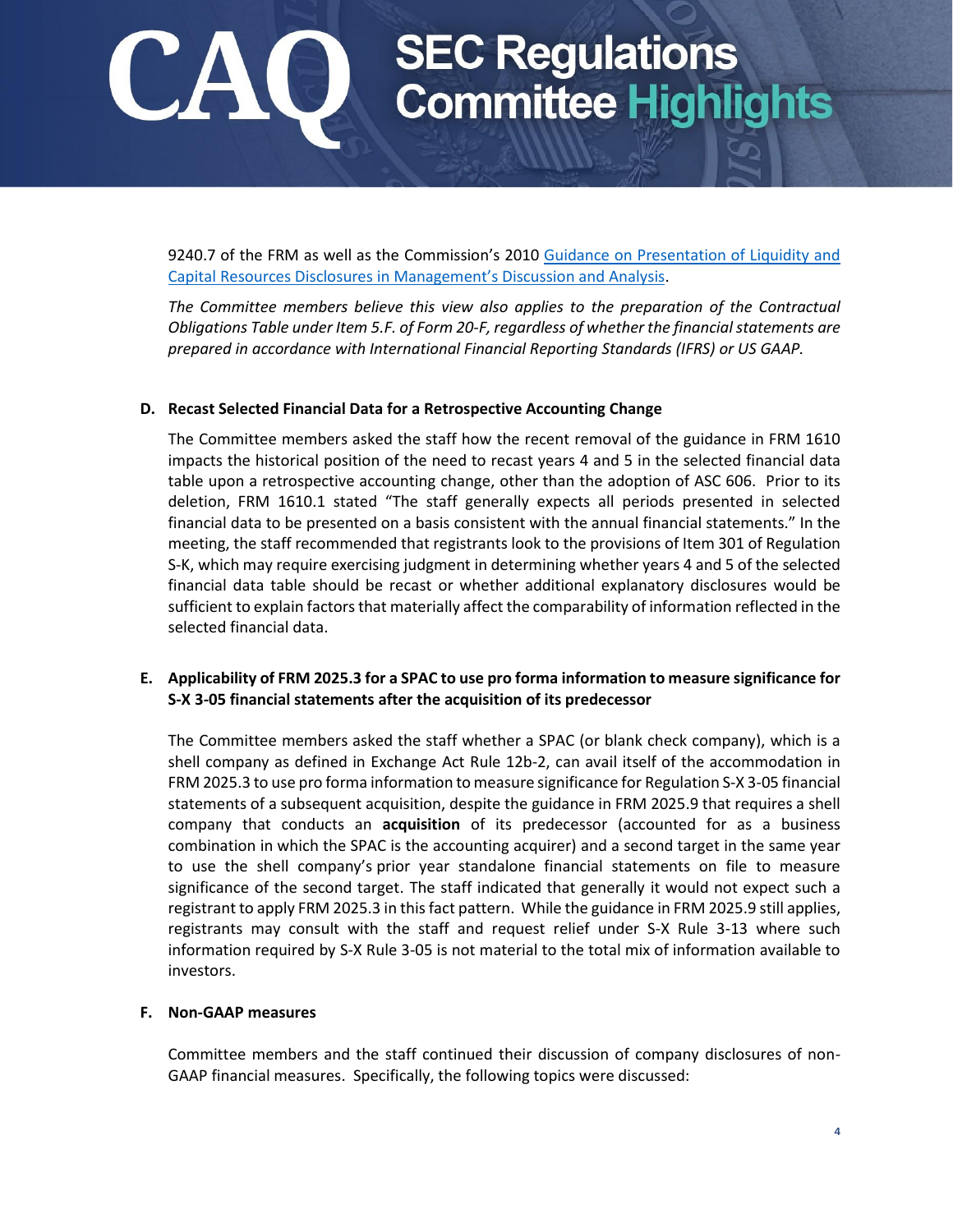9240.7 of the FRM as well as the Commission's 2010 Guidance on Presentation of Liquidity and [Capital Resources Disclosures in Management's Discussion and Analysis](https://www.sec.gov/rules/interp/2010/33-9144.pdf).

*The Committee members believe this view also applies to the preparation of the Contractual Obligations Table under Item 5.F. of Form 20-F, regardless of whether the financial statements are prepared in accordance with International Financial Reporting Standards (IFRS) or US GAAP.* 

#### **D. Recast Selected Financial Data for a Retrospective Accounting Change**

The Committee members asked the staff how the recent removal of the guidance in FRM 1610 impacts the historical position of the need to recast years 4 and 5 in the selected financial data table upon a retrospective accounting change, other than the adoption of ASC 606. Prior to its deletion, FRM 1610.1 stated "The staff generally expects all periods presented in selected financial data to be presented on a basis consistent with the annual financial statements." In the meeting, the staff recommended that registrants look to the provisions of Item 301 of Regulation S-K, which may require exercising judgment in determining whether years 4 and 5 of the selected financial data table should be recast or whether additional explanatory disclosures would be sufficient to explain factors that materially affect the comparability of information reflected in the selected financial data.

#### **E. Applicability of FRM 2025.3 for a SPAC to use pro forma information to measure significance for S-X 3-05 financial statements after the acquisition of its predecessor**

The Committee members asked the staff whether a SPAC (or blank check company), which is a shell company as defined in Exchange Act Rule 12b-2, can avail itself of the accommodation in FRM 2025.3 to use pro forma information to measure significance for Regulation S-X 3-05 financial statements of a subsequent acquisition, despite the guidance in FRM 2025.9 that requires a shell company that conducts an **acquisition** of its predecessor (accounted for as a business combination in which the SPAC is the accounting acquirer) and a second target in the same year to use the shell company's prior year standalone financial statements on file to measure significance of the second target. The staff indicated that generally it would not expect such a registrant to apply FRM 2025.3 in this fact pattern. While the guidance in FRM 2025.9 still applies, registrants may consult with the staff and request relief under S-X Rule 3-13 where such information required by S-X Rule 3-05 is not material to the total mix of information available to investors.

#### **F. Non-GAAP measures**

Committee members and the staff continued their discussion of company disclosures of non-GAAP financial measures. Specifically, the following topics were discussed: